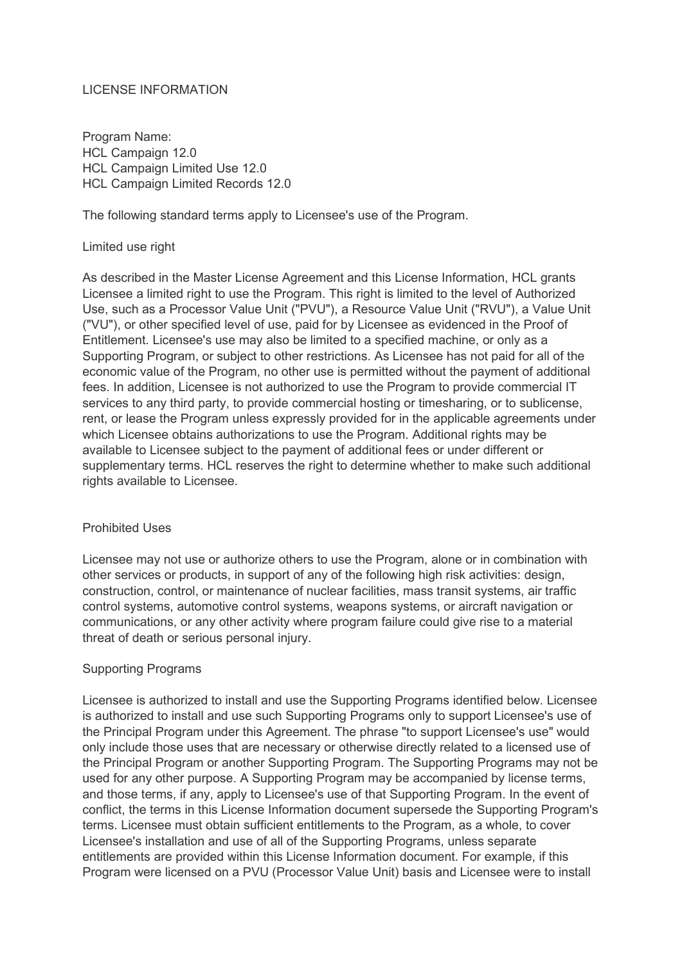### LICENSE INFORMATION

Program Name: HCL Campaign 12.0 HCL Campaign Limited Use 12.0 HCL Campaign Limited Records 12.0

The following standard terms apply to Licensee's use of the Program.

#### Limited use right

As described in the Master License Agreement and this License Information, HCL grants Licensee a limited right to use the Program. This right is limited to the level of Authorized Use, such as a Processor Value Unit ("PVU"), a Resource Value Unit ("RVU"), a Value Unit ("VU"), or other specified level of use, paid for by Licensee as evidenced in the Proof of Entitlement. Licensee's use may also be limited to a specified machine, or only as a Supporting Program, or subject to other restrictions. As Licensee has not paid for all of the economic value of the Program, no other use is permitted without the payment of additional fees. In addition, Licensee is not authorized to use the Program to provide commercial IT services to any third party, to provide commercial hosting or timesharing, or to sublicense, rent, or lease the Program unless expressly provided for in the applicable agreements under which Licensee obtains authorizations to use the Program. Additional rights may be available to Licensee subject to the payment of additional fees or under different or supplementary terms. HCL reserves the right to determine whether to make such additional rights available to Licensee.

#### Prohibited Uses

Licensee may not use or authorize others to use the Program, alone or in combination with other services or products, in support of any of the following high risk activities: design, construction, control, or maintenance of nuclear facilities, mass transit systems, air traffic control systems, automotive control systems, weapons systems, or aircraft navigation or communications, or any other activity where program failure could give rise to a material threat of death or serious personal injury.

### Supporting Programs

Licensee is authorized to install and use the Supporting Programs identified below. Licensee is authorized to install and use such Supporting Programs only to support Licensee's use of the Principal Program under this Agreement. The phrase "to support Licensee's use" would only include those uses that are necessary or otherwise directly related to a licensed use of the Principal Program or another Supporting Program. The Supporting Programs may not be used for any other purpose. A Supporting Program may be accompanied by license terms, and those terms, if any, apply to Licensee's use of that Supporting Program. In the event of conflict, the terms in this License Information document supersede the Supporting Program's terms. Licensee must obtain sufficient entitlements to the Program, as a whole, to cover Licensee's installation and use of all of the Supporting Programs, unless separate entitlements are provided within this License Information document. For example, if this Program were licensed on a PVU (Processor Value Unit) basis and Licensee were to install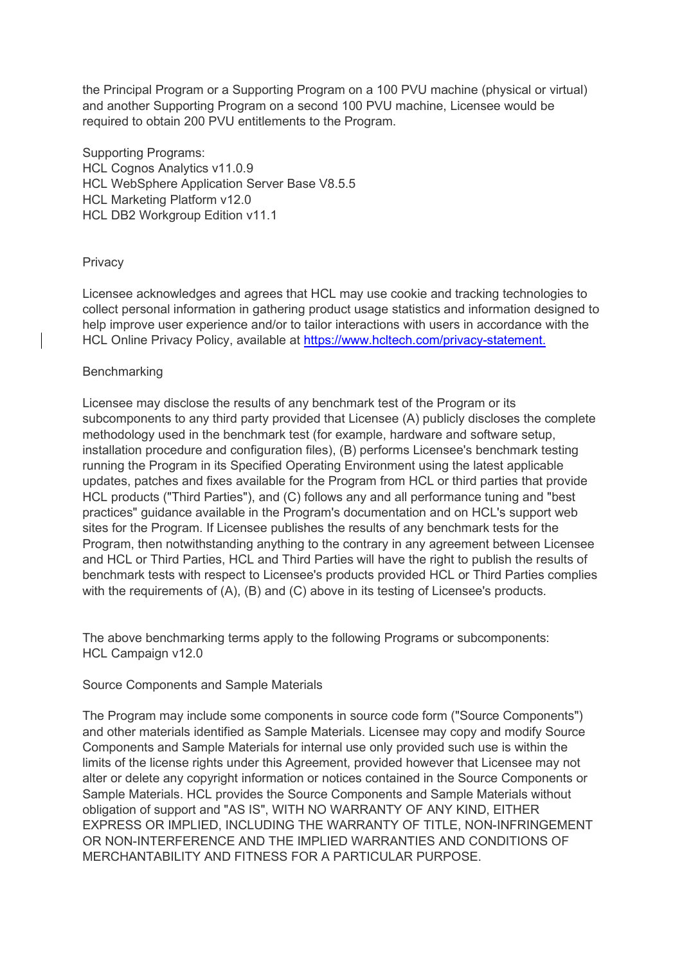the Principal Program or a Supporting Program on a 100 PVU machine (physical or virtual) and another Supporting Program on a second 100 PVU machine, Licensee would be required to obtain 200 PVU entitlements to the Program.

Supporting Programs: HCL Cognos Analytics v11.0.9 HCL WebSphere Application Server Base V8.5.5 HCL Marketing Platform v12.0 HCL DB2 Workgroup Edition v11.1

## **Privacy**

Licensee acknowledges and agrees that HCL may use cookie and tracking technologies to collect personal information in gathering product usage statistics and information designed to help improve user experience and/or to tailor interactions with users in accordance with the HCL Online Privacy Policy, available at [https://www.hcltech.com/privacy-statement.](https://www.hcltech.com/privacy-statement)

### **Benchmarking**

Licensee may disclose the results of any benchmark test of the Program or its subcomponents to any third party provided that Licensee (A) publicly discloses the complete methodology used in the benchmark test (for example, hardware and software setup, installation procedure and configuration files), (B) performs Licensee's benchmark testing running the Program in its Specified Operating Environment using the latest applicable updates, patches and fixes available for the Program from HCL or third parties that provide HCL products ("Third Parties"), and (C) follows any and all performance tuning and "best practices" guidance available in the Program's documentation and on HCL's support web sites for the Program. If Licensee publishes the results of any benchmark tests for the Program, then notwithstanding anything to the contrary in any agreement between Licensee and HCL or Third Parties, HCL and Third Parties will have the right to publish the results of benchmark tests with respect to Licensee's products provided HCL or Third Parties complies with the requirements of (A), (B) and (C) above in its testing of Licensee's products.

The above benchmarking terms apply to the following Programs or subcomponents: HCL Campaign v12.0

Source Components and Sample Materials

The Program may include some components in source code form ("Source Components") and other materials identified as Sample Materials. Licensee may copy and modify Source Components and Sample Materials for internal use only provided such use is within the limits of the license rights under this Agreement, provided however that Licensee may not alter or delete any copyright information or notices contained in the Source Components or Sample Materials. HCL provides the Source Components and Sample Materials without obligation of support and "AS IS", WITH NO WARRANTY OF ANY KIND, EITHER EXPRESS OR IMPLIED, INCLUDING THE WARRANTY OF TITLE, NON-INFRINGEMENT OR NON-INTERFERENCE AND THE IMPLIED WARRANTIES AND CONDITIONS OF MERCHANTABILITY AND FITNESS FOR A PARTICULAR PURPOSE.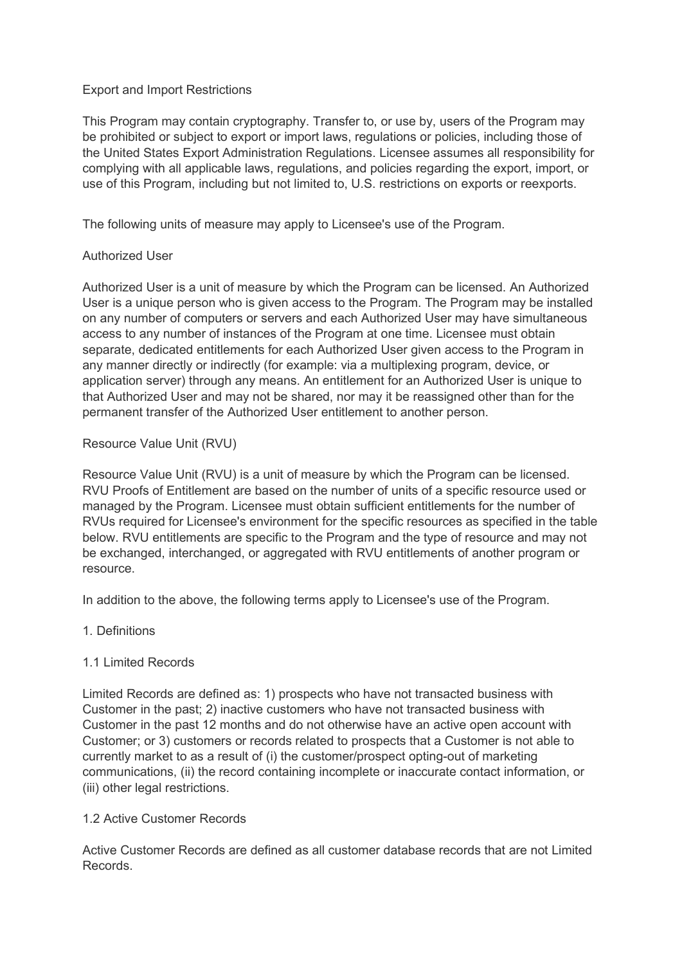### Export and Import Restrictions

This Program may contain cryptography. Transfer to, or use by, users of the Program may be prohibited or subject to export or import laws, regulations or policies, including those of the United States Export Administration Regulations. Licensee assumes all responsibility for complying with all applicable laws, regulations, and policies regarding the export, import, or use of this Program, including but not limited to, U.S. restrictions on exports or reexports.

The following units of measure may apply to Licensee's use of the Program.

# Authorized User

Authorized User is a unit of measure by which the Program can be licensed. An Authorized User is a unique person who is given access to the Program. The Program may be installed on any number of computers or servers and each Authorized User may have simultaneous access to any number of instances of the Program at one time. Licensee must obtain separate, dedicated entitlements for each Authorized User given access to the Program in any manner directly or indirectly (for example: via a multiplexing program, device, or application server) through any means. An entitlement for an Authorized User is unique to that Authorized User and may not be shared, nor may it be reassigned other than for the permanent transfer of the Authorized User entitlement to another person.

## Resource Value Unit (RVU)

Resource Value Unit (RVU) is a unit of measure by which the Program can be licensed. RVU Proofs of Entitlement are based on the number of units of a specific resource used or managed by the Program. Licensee must obtain sufficient entitlements for the number of RVUs required for Licensee's environment for the specific resources as specified in the table below. RVU entitlements are specific to the Program and the type of resource and may not be exchanged, interchanged, or aggregated with RVU entitlements of another program or resource.

In addition to the above, the following terms apply to Licensee's use of the Program.

1. Definitions

# 1.1 Limited Records

Limited Records are defined as: 1) prospects who have not transacted business with Customer in the past; 2) inactive customers who have not transacted business with Customer in the past 12 months and do not otherwise have an active open account with Customer; or 3) customers or records related to prospects that a Customer is not able to currently market to as a result of (i) the customer/prospect opting-out of marketing communications, (ii) the record containing incomplete or inaccurate contact information, or (iii) other legal restrictions.

### 1.2 Active Customer Records

Active Customer Records are defined as all customer database records that are not Limited **Records**